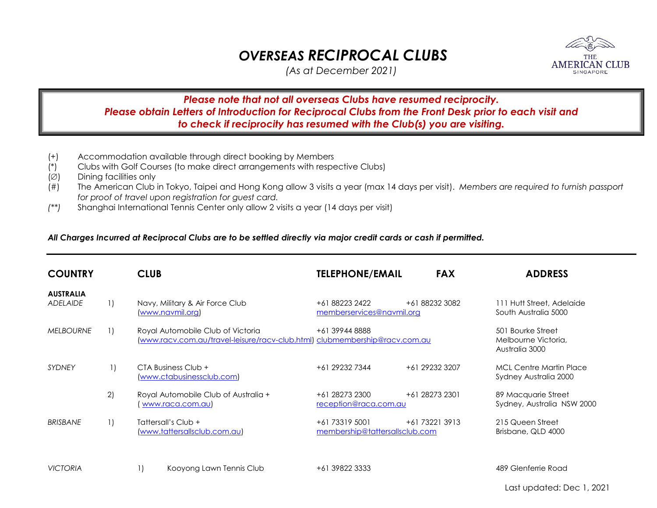## *OVERSEAS RECIPROCAL CLUBS*

*(As at December 2021)* 

## *Please note that not all overseas Clubs have resumed reciprocity. Please obtain Letters of Introduction for Reciprocal Clubs from the Front Desk prior to each visit and to check if reciprocity has resumed with the Club(s) you are visiting.*

- (+) Accommodation available through direct booking by Members
- (\*) Clubs with Golf Courses (to make direct arrangements with respective Clubs)
- $(\emptyset)$  Dining facilities only
- (#) The American Club in Tokyo, Taipei and Hong Kong allow 3 visits a year (max 14 days per visit). *Members are required to furnish passport for proof of travel upon registration for guest card.*
- *(\*\*)* Shanghai International Tennis Center only allow 2 visits a year (14 days per visit)

## *All Charges Incurred at Reciprocal Clubs are to be settled directly via major credit cards or cash if permitted.*

| <b>COUNTRY</b>                      |    | <b>CLUB</b>                                                                                                     | <b>TELEPHONE/EMAIL</b>                           | <b>FAX</b>     | <b>ADDRESS</b>                                             |
|-------------------------------------|----|-----------------------------------------------------------------------------------------------------------------|--------------------------------------------------|----------------|------------------------------------------------------------|
| <b>AUSTRALIA</b><br><b>ADELAIDE</b> | 1) | Navy, Military & Air Force Club<br>(www.navmil.org)                                                             | +61 88223 2422<br>memberservices@navmil.org      | +61 88232 3082 | 111 Hutt Street, Adelaide<br>South Australia 5000          |
| <b>MELBOURNE</b>                    | 1) | Royal Automobile Club of Victoria<br>(www.racv.com.au/travel-leisure/racv-club.html) clubmembership@racv.com.au | +61 39944 8888                                   |                | 501 Bourke Street<br>Melbourne Victoria,<br>Australia 3000 |
| <b>SYDNEY</b>                       |    | CTA Business Club +<br>(www.ctabusinessclub.com)                                                                | +61 29232 7344                                   | +61 29232 3207 | <b>MCL Centre Martin Place</b><br>Sydney Australia 2000    |
|                                     | 2) | Royal Automobile Club of Australia +<br>www.raca.com.au)                                                        | +61 28273 2300<br>reception@raca.com.au          | +61 28273 2301 | 89 Macquarie Street<br>Sydney, Australia NSW 2000          |
| <b>BRISBANE</b>                     | 1) | Tattersall's Club +<br>www.tattersallsclub.com.au)                                                              | +61 73319 5001<br>membership@tattersallsclub.com | +61 73221 3913 | 215 Queen Street<br>Brisbane, QLD 4000                     |
| <b>VICTORIA</b>                     |    | Kooyong Lawn Tennis Club                                                                                        | +61 39822 3333                                   |                | 489 Glenferrie Road                                        |

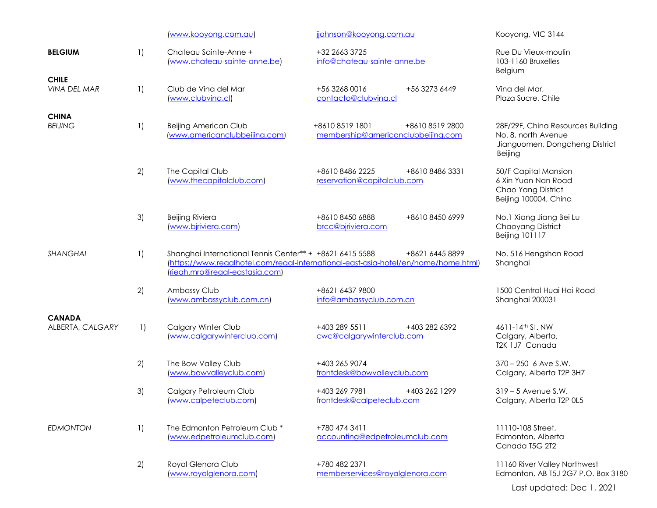|                                     |                        | www.kooyong.com.au                                                                         | jjohnson@kooyong.com.au                                                                               | Kooyong, VIC 3144                                                                                     |
|-------------------------------------|------------------------|--------------------------------------------------------------------------------------------|-------------------------------------------------------------------------------------------------------|-------------------------------------------------------------------------------------------------------|
| <b>BELGIUM</b>                      | 1)                     | Chateau Sainte-Anne +<br>(www.chateau-sainte-anne.be)                                      | +32 2663 3725<br>info@chateau-sainte-anne.be                                                          | Rue Du Vieux-moulin<br>103-1160 Bruxelles<br>Belgium                                                  |
| <b>CHILE</b><br><b>VINA DEL MAR</b> | $\left  \right $       | Club de Vina del Mar<br>(www.clubvina.cl)                                                  | +56 3268 0016<br>+56 3273 6449<br>contacto@clubvina.cl                                                | Vina del Mar,<br>Plaza Sucre, Chile                                                                   |
| <b>CHINA</b><br><b>BEIJING</b>      | 1)                     | Beijing American Club<br>(www.americanclubbeijing.com)                                     | +861085191801<br>+8610 8519 2800<br>membership@americanclubbeijing.com                                | 28F/29F, China Resources Building<br>No. 8, north Avenue<br>Jianguomen, Dongcheng District<br>Beijing |
|                                     | 2)                     | The Capital Club<br>(www.thecapitalclub.com)                                               | +8610 8486 2225<br>+8610 8486 3331<br>reservation@capitalclub.com                                     | 50/F Capital Mansion<br>6 Xin Yuan Nan Road<br>Chao Yang District<br>Beijing 100004, China            |
|                                     | 3)                     | <b>Beijing Riviera</b><br>(www.bjriviera.com)                                              | +8610 8450 6888<br>+8610 8450 6999<br>brcc@bjriviera.com                                              | No.1 Xiang Jiang Bei Lu<br>Chaoyang District<br><b>Beijing 101117</b>                                 |
| <b>SHANGHAI</b>                     | 1)                     | Shanghai International Tennis Center** + +8621 6415 5588<br>(rieah.mro@regal-eastasia.com) | +8621 6445 8899<br>(https://www.regalhotel.com/regal-international-east-asia-hotel/en/home/home.html) | No. 516 Hengshan Road<br>Shanghai                                                                     |
|                                     | 2)                     | Ambassy Club<br>(www.ambassyclub.com.cn)                                                   | +8621 6437 9800<br>info@ambassyclub.com.cn                                                            | 1500 Central Huai Hai Road<br>Shanghai 200031                                                         |
| <b>CANADA</b><br>ALBERTA, CALGARY   | $\left  \cdot \right $ | Calgary Winter Club<br>(www.calgarywinterclub.com)                                         | +403 289 5511<br>+403 282 6392<br>cwc@calgarywinterclub.com                                           | 4611-14th St. NW<br>Calgary, Alberta,<br>T2K 1J7 Canada                                               |
|                                     | 2)                     | The Bow Valley Club<br>(www.bowvalleyclub.com)                                             | +403 265 9074<br>frontdesk@bowyalleyclub.com                                                          | $370 - 250$ 6 Ave S.W.<br>Calgary, Alberta T2P 3H7                                                    |
|                                     | 3)                     | Calgary Petroleum Club<br>(www.calpeteclub.com)                                            | +403 269 7981<br>+403 262 1299<br>frontdesk@calpeteclub.com                                           | $319 - 5$ Avenue S.W.<br>Calgary, Alberta T2P 0L5                                                     |
| <b>EDMONTON</b>                     | 1)                     | The Edmonton Petroleum Club *<br>(www.edpetroleumclub.com)                                 | +780 474 3411<br>accounting@edpetroleumclub.com                                                       | 11110-108 Street,<br>Edmonton, Alberta<br>Canada T5G 2T2                                              |
|                                     | 2)                     | Royal Glenora Club<br>(www.royalglenora.com)                                               | +780 482 2371<br>memberservices@royalglenora.com                                                      | 11160 River Valley Northwest<br>Edmonton, AB T5J 2G7 P.O. Box 3180<br>Last updated: Dec 1, 2021       |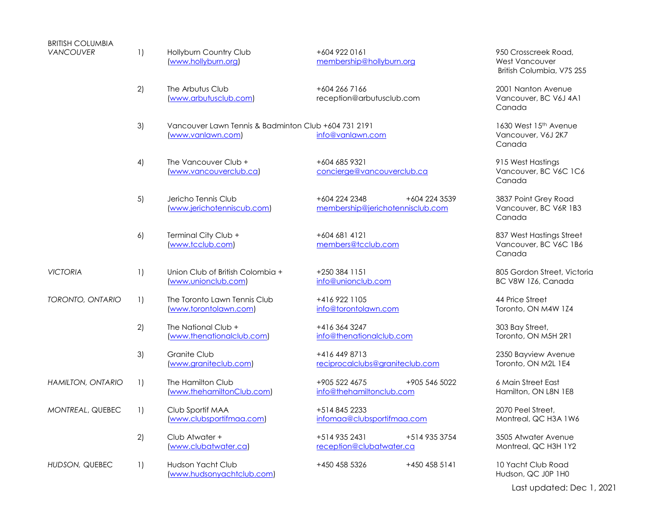| <b>BRITISH COLUMBIA</b>  |                        |                                                                           |                                                                    |                                                                            |
|--------------------------|------------------------|---------------------------------------------------------------------------|--------------------------------------------------------------------|----------------------------------------------------------------------------|
| <b>VANCOUVER</b>         | 1)                     | Hollyburn Country Club<br>(www.hollyburn.org)                             | +604 922 0161<br>membership@hollyburn.org                          | 950 Crosscreek Road,<br><b>West Vancouver</b><br>British Columbia, V7S 2S5 |
|                          | 2)                     | The Arbutus Club<br>(www.arbutusclub.com)                                 | +604 266 7166<br>reception@arbutusclub.com                         | 2001 Nanton Avenue<br>Vancouver, BC V6J 4A1<br>Canada                      |
|                          | 3)                     | Vancouver Lawn Tennis & Badminton Club +604 731 2191<br>(www.vanlawn.com) | info@vanlawn.com                                                   | 1630 West 15th Avenue<br>Vancouver, V6J 2K7<br>Canada                      |
|                          | 4)                     | The Vancouver Club +<br>(www.vancouverclub.ca)                            | +604 685 9321<br>concierge@vancouverclub.ca                        | 915 West Hastings<br>Vancouver, BC V6C 1C6<br>Canada                       |
|                          | 5)                     | Jericho Tennis Club<br>(www.jerichotenniscub.com)                         | +604 224 2348<br>+604 224 3539<br>membership@jerichotennisclub.com | 3837 Point Grey Road<br>Vancouver, BC V6R 1B3<br>Canada                    |
|                          | 6)                     | Terminal City Club +<br>(www.tcclub.com)                                  | +604 681 4121<br>members@tcclub.com                                | 837 West Hastings Street<br>Vancouver, BC V6C 1B6<br>Canada                |
| <b>VICTORIA</b>          | 1)                     | Union Club of British Colombia +<br>(www.unionclub.com)                   | +250 384 1151<br>info@unionclub.com                                | 805 Gordon Street, Victoria<br>BC V8W 1Z6, Canada                          |
| TORONTO, ONTARIO         | 1)                     | The Toronto Lawn Tennis Club<br>(www.torontolawn.com)                     | +416 922 1105<br>info@torontolawn.com                              | 44 Price Street<br>Toronto, ON M4W 1Z4                                     |
|                          | 2)                     | The National Club +<br>(www.thenationalclub.com)                          | +416 364 3247<br>info@thenationalclub.com                          | 303 Bay Street,<br>Toronto, ON M5H 2R1                                     |
|                          | 3)                     | Granite Club<br>(www.graniteclub.com)                                     | +416 449 8713<br>reciprocalclubs@graniteclub.com                   | 2350 Bayview Avenue<br>Toronto, ON M2L 1E4                                 |
| <b>HAMILTON, ONTARIO</b> | 1)                     | The Hamilton Club<br>(www.thehamiltonClub.com)                            | +905 522 4675<br>+905 546 5022<br>info@thehamiltonclub.com         | 6 Main Street East<br>Hamilton, ON L8N 1E8                                 |
| MONTREAL, QUEBEC         | $\left  \cdot \right $ | Club Sportif MAA<br>(www.clubsportifmaa.com)                              | +514 845 2233<br>infomaa@clubsportifmaa.com                        | 2070 Peel Street,<br>Montreal, QC H3A 1W6                                  |
|                          | 2)                     | Club Atwater +<br>(www.clubatwater.ca)                                    | +514 935 2431<br>+514 935 3754<br>reception@clubatwater.ca         | 3505 Atwater Avenue<br>Montreal, QC H3H 1Y2                                |
| HUDSON, QUEBEC           | 1)                     | Hudson Yacht Club<br>(www.hudsonyachtclub.com)                            | +450 458 5326<br>+450 458 5141                                     | 10 Yacht Club Road<br>Hudson, QC J0P 1H0                                   |

Last updated: Dec 1, 2021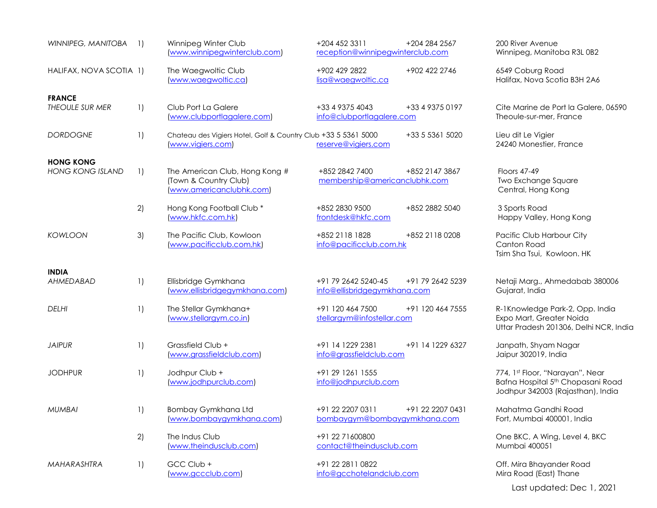| WINNIPEG, MANITOBA                          | $\left  \right $   | Winnipeg Winter Club<br>(www.winnipegwinterclub.com)                                | +204 452 3311<br>reception@winnipegwinterclub.com   | +204 284 2567    | 200 River Avenue<br>Winnipeg, Manitoba R3L 0B2                                                                        |
|---------------------------------------------|--------------------|-------------------------------------------------------------------------------------|-----------------------------------------------------|------------------|-----------------------------------------------------------------------------------------------------------------------|
| HALIFAX, NOVA SCOTIA 1)                     |                    | The Waegwoltic Club<br>(www.waegwoltic.ca)                                          | +902 429 2822<br>lisa@waegwoltic.ca                 | +902 422 2746    | 6549 Coburg Road<br>Halifax, Nova Scotia B3H 2A6                                                                      |
| <b>FRANCE</b><br>THEOULE SUR MER            | $\left  \ \right $ | Club Port La Galere<br>(www.clubportlagalere.com)                                   | +33 4 9375 4043<br>info@clubportlagalere.com        | +33 4 9375 0197  | Cite Marine de Port la Galere, 06590<br>Theoule-sur-mer, France                                                       |
| <b>DORDOGNE</b>                             | 1)                 | Chateau des Vigiers Hotel, Golf & Country Club +33 5 5361 5000<br>www.vigiers.com   | reserve@vigiers.com                                 | +33 5 5361 5020  | Lieu dit Le Vigier<br>24240 Monestier, France                                                                         |
| <b>HONG KONG</b><br><b>HONG KONG ISLAND</b> | $\left  \ \right $ | The American Club, Hong Kong #<br>(Town & Country Club)<br>(www.americanclubhk.com) | +852 2842 7400<br>membership@americanclubhk.com     | +852 2147 3867   | <b>Floors 47-49</b><br>Two Exchange Square<br>Central, Hong Kong                                                      |
|                                             | 2)                 | Hong Kong Football Club*<br>(www.hkfc.com.hk)                                       | +852 2830 9500<br>frontdesk@hkfc.com                | +852 2882 5040   | 3 Sports Road<br>Happy Valley, Hong Kong                                                                              |
| <b>KOWLOON</b>                              | 3)                 | The Pacific Club, Kowloon<br>www.pacificclub.com.hk)                                | +852 2118 1828<br>info@pacificclub.com.hk           | +852 2118 0208   | Pacific Club Harbour City<br>Canton Road<br>Tsim Sha Tsui, Kowloon. HK                                                |
| <b>INDIA</b><br>AHMEDABAD                   | $\left  \ \right $ | Ellisbridge Gymkhana<br>(www.ellisbridgegymkhang.com)                               | +91 79 2642 5240-45<br>info@ellisbridgegymkhana.com | +91 79 2642 5239 | Netaji Marg., Ahmedabab 380006<br>Gujarat, India                                                                      |
| <b>DELHI</b>                                | $\left  \right $   | The Stellar Gymkhana+<br>(www.stellargym.co.in)                                     | +91 120 464 7500<br>stellargym@infostellar.com      | +91 120 464 7555 | R-1Knowledge Park-2, Opp. India<br>Expo Mart, Greater Noida<br>Uttar Pradesh 201306, Delhi NCR, India                 |
| <b>JAIPUR</b>                               | $\left  \right $   | Grassfield Club +<br>(www.grassfieldclub.com)                                       | +91 14 1229 2381<br>info@grassfieldclub.com         | +91 14 1229 6327 | Janpath, Shyam Nagar<br>Jaipur 302019, India                                                                          |
| <b>JODHPUR</b>                              | 1)                 | Jodhpur Club +<br>(www.jodhpurclub.com)                                             | +91 29 1261 1555<br>info@jodhpurclub.com            |                  | 774, 1st Floor, "Narayan", Near<br>Bafna Hospital 5 <sup>th</sup> Chopasani Road<br>Jodhpur 342003 (Rajasthan), India |
| <b>MUMBAI</b>                               | 1)                 | Bombay Gymkhana Ltd<br>(www.bombaygymkhana.com)                                     | +91 22 2207 0311<br>bombaygym@bombaygymkhana.com    | +91 22 2207 0431 | Mahatma Gandhi Road<br>Fort, Mumbai 400001, India                                                                     |
|                                             | 2)                 | The Indus Club<br>(www.theindusclub.com)                                            | +91 22 71600800<br>contact@theindusclub.com         |                  | One BKC, A Wing, Level 4, BKC<br>Mumbai 400051                                                                        |
| MAHARASHTRA                                 | 1)                 | GCC Club +<br>(www.gccclub.com)                                                     | +91 22 2811 0822<br>info@gcchotelandclub.com        |                  | Off. Mira Bhayander Road<br>Mira Road (East) Thane                                                                    |
|                                             |                    |                                                                                     |                                                     |                  | Last updated: Dec 1, 2021                                                                                             |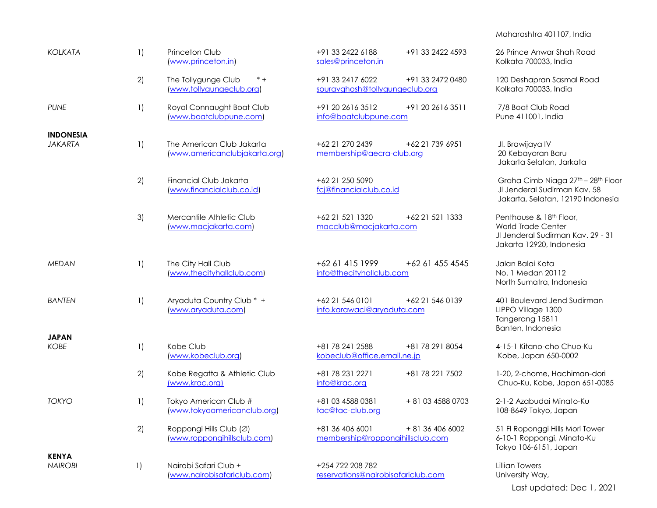## Maharashtra 401107, India

| <b>KOLKATA</b>                 | 1)               | Princeton Club<br>(www.princeton.in)                       | +91 33 2422 6188<br>+91 33 2422 4593<br>sales@princeton.in              | 26 Prince Anwar Shah Road<br>Kolkata 700033, India                                                                    |
|--------------------------------|------------------|------------------------------------------------------------|-------------------------------------------------------------------------|-----------------------------------------------------------------------------------------------------------------------|
|                                | 2)               | The Tollygunge Club<br>$* +$<br>(www.tollygungeclub.org)   | +91 33 2417 6022<br>+91 33 2472 0480<br>souravghosh@tollygungeclub.org  | 120 Deshapran Sasmal Road<br>Kolkata 700033, India                                                                    |
| <b>PUNE</b>                    | 1)               | Royal Connaught Boat Club<br>(www.boatclubpune.com)        | +91 20 2616 3512<br>+91 20 2616 3511<br>info@boatclubpune.com           | 7/8 Boat Club Road<br>Pune 411001, India                                                                              |
| <b>INDONESIA</b>               |                  |                                                            |                                                                         |                                                                                                                       |
| <b>JAKARTA</b>                 | 1)               | The American Club Jakarta<br>(www.americanclubjakarta.org) | +62 21 270 2439<br>+62 21 739 6951<br>membership@aecra-club.org         | Jl. Brawijaya IV<br>20 Kebayoran Baru<br>Jakarta Selatan, Jarkata                                                     |
|                                | 2)               | Financial Club Jakarta<br>(www.financialclub.co.id)        | +62 21 250 5090<br>fcj@financialclub.co.id                              | Graha Cimb Niaga 27th - 28th Floor<br>Jl Jenderal Sudirman Kav. 58<br>Jakarta, Selatan, 12190 Indonesia               |
|                                | 3)               | Mercantile Athletic Club<br>(www.macjakarta.com)           | +62 21 521 1320<br>+62 21 521 1333<br>macclub@macjakarta.com            | Penthouse & 18th Floor,<br><b>World Trade Center</b><br>Jl Jenderal Sudirman Kav. 29 - 31<br>Jakarta 12920, Indonesia |
| <b>MEDAN</b>                   | 1)               | The City Hall Club<br>(www.thecityhallclub.com)            | +62 61 415 1999<br>+62 61 455 4545<br>info@thecityhallclub.com          | Jalan Balai Kota<br>No. 1 Medan 20112<br>North Sumatra, Indonesia                                                     |
| <b>BANTEN</b>                  | $\left  \right $ | Aryaduta Country Club * +<br>(www.aryaduta.com)            | +62 21 546 0101<br>+62 21 546 0139<br>info.karawaci@aryaduta.com        | 401 Boulevard Jend Sudirman<br>LIPPO Village 1300<br>Tangerang 15811<br>Banten, Indonesia                             |
| <b>JAPAN</b>                   |                  |                                                            |                                                                         |                                                                                                                       |
| <b>KOBE</b>                    | 1)               | Kobe Club<br>(www.kobeclub.org)                            | +81 78 241 2588<br>+81 78 291 8054<br>kobeclub@office.email.ne.jp       | 4-15-1 Kitano-cho Chuo-Ku<br>Kobe, Japan 650-0002                                                                     |
|                                | 2)               | Kobe Regatta & Athletic Club<br>(www.krac.org)             | +81 78 231 2271<br>+81 78 221 7502<br>info@krac.org                     | 1-20, 2-chome, Hachiman-dori<br>Chuo-Ku, Kobe, Japan 651-0085                                                         |
| <b>TOKYO</b>                   | 1)               | Tokyo American Club #<br>(www.tokyoamericanclub.org)       | +81 03 4588 0381<br>+ 81 03 4588 0703<br>tac@tac-club.org               | 2-1-2 Azabudai Minato-Ku<br>108-8649 Tokyo, Japan                                                                     |
|                                | 2)               | Roppongi Hills Club (Ø)<br>(www.roppongihillsclub.com)     | +81 36 406 6001<br>+ 81 36 406 6002<br>membership@roppongihillsclub.com | 51 Fl Roponggi Hills Mori Tower<br>6-10-1 Roppongi, Minato-Ku<br>Tokyo 106-6151, Japan                                |
| <b>KENYA</b><br><b>NAIROBI</b> | 1)               | Nairobi Safari Club +<br>(www.nairobisafariclub.com)       | +254 722 208 782<br>reservations@nairobisafariclub.com                  | <b>Lillian Towers</b><br>University Way,                                                                              |

Last updated: Dec 1, 2021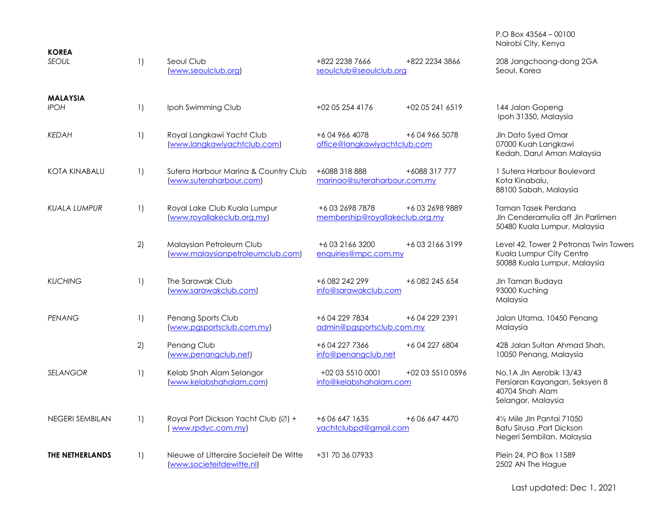| <b>KOREA</b>                   |                  |                                                                      |                                                                 | Nairobi City, Kenya                                                                                |
|--------------------------------|------------------|----------------------------------------------------------------------|-----------------------------------------------------------------|----------------------------------------------------------------------------------------------------|
| <b>SEOUL</b>                   | 1)               | Seoul Club<br>(www.seoulclub.org)                                    | +822 2238 7666<br>+822 2234 3866<br>seoulclub@seoulclub.org     | 208 Jangchoong-dong 2GA<br>Seoul, Korea                                                            |
| <b>MALAYSIA</b><br><b>IPOH</b> | 1)               | Ipoh Swimming Club                                                   | +02 05 254 4176<br>+02 05 241 6519                              | 144 Jalan Gopeng<br>Ipoh 31350, Malaysia                                                           |
| <b>KEDAH</b>                   | 1)               | Royal Langkawi Yacht Club<br>(www.langkawiyachtclub.com)             | +6049664078<br>+6 04 966 5078<br>office@langkawiyachtclub.com   | JIn Dato Syed Omar<br>07000 Kuah Langkawi<br>Kedah, Darul Aman Malaysia                            |
| <b>KOTA KINABALU</b>           | 1)               | Sutera Harbour Marina & Country Club<br>(www.suteraharbour.com)      | +6088 318 888<br>+6088 317 777<br>marinao@suteraharbour.com.my  | 1 Sutera Harbour Boulevard<br>Kota Kinabalu,<br>88100 Sabah, Malaysia                              |
| <b>KUALA LUMPUR</b>            | 1)               | Royal Lake Club Kuala Lumpur<br>(www.royallakeclub.org.my)           | +60326987878<br>+60326989889<br>membership@royallakeclub.org.my | Taman Tasek Perdana<br>Jln Cenderamulia off Jln Parlimen<br>50480 Kuala Lumpur, Malaysia           |
|                                | 2)               | Malaysian Petroleum Club<br>(www.malaysianpetroleumclub.com)         | +60321663200<br>+60321663199<br>enquiries@mpc.com.my            | Level 42, Tower 2 Petronas Twin Towers<br>Kuala Lumpur City Centre<br>50088 Kuala Lumpur, Malaysia |
| <b>KUCHING</b>                 | 1)               | The Sarawak Club<br>(www.sarawakclub.com)                            | +6 082 242 299<br>+6 082 245 654<br>info@sarawakclub.com        | Jln Taman Budaya<br>93000 Kuching<br>Malaysia                                                      |
| <b>PENANG</b>                  | $\left  \right $ | Penang Sports Club<br>(www.pgsportsclub.com.my)                      | +604 229 7834<br>+6 04 229 2391<br>admin@pgsportsclub.com.my    | Jalan Utama, 10450 Penang<br>Malaysia                                                              |
|                                | 2)               | Penang Club<br>(www.penangclub.net)                                  | +604 227 7366<br>+6 04 227 6804<br>info@penangclub.net          | 42B Jalan Sultan Ahmad Shah.<br>10050 Penang, Malaysia                                             |
| <b>SELANGOR</b>                | 1)               | Kelab Shah Alam Selangor<br>(www.kelabshahalam.com)                  | +02 03 5510 0001<br>+02 03 5510 0596<br>info@kelabshahalam.com  | No.1A Jln Aerobik 13/43<br>Persiaran Kayangan, Seksyen 8<br>40704 Shah Alam<br>Selangor, Malaysia  |
| <b>NEGERI SEMBILAN</b>         | 1)               | Royal Port Dickson Yacht Club (Ø) +<br>www.rpdyc.com.my              | +606 647 1635<br>+6 06 647 4470<br>yachtclubpd@gmail.com        | 41/2 Mile Jln Pantai 71050<br>Batu Sirusa , Port Dickson<br>Negeri Sembilan, Malaysia              |
| THE NETHERLANDS                | 1)               | Nieuwe of Litteraire Societeit De Witte<br>(www.societeitdewitte.nl) | +31 70 36 07933                                                 | Plein 24, PO Box 11589<br>2502 AN The Hague                                                        |

P.O Box 43564 – 00100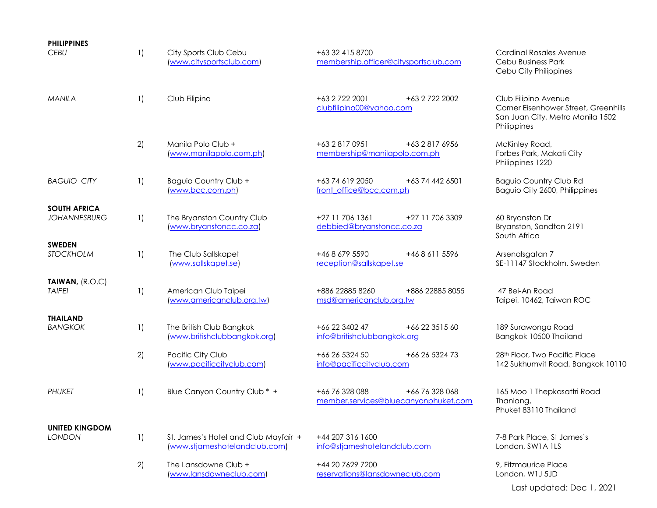| <b>PHILIPPINES</b><br>CEBU                 | 1)                 | City Sports Club Cebu<br>(www.citysportsclub.com)                     | +63 32 415 8700<br>membership.officer@citysportsclub.com                 | <b>Cardinal Rosales Avenue</b><br>Cebu Business Park<br>Cebu City Philippines                                   |
|--------------------------------------------|--------------------|-----------------------------------------------------------------------|--------------------------------------------------------------------------|-----------------------------------------------------------------------------------------------------------------|
| <b>MANILA</b>                              | $\left  \right $   | Club Filipino                                                         | +63 2 722 2001<br>+63 2 722 2002<br>clubfilipino00@yahoo.com             | Club Filipino Avenue<br>Corner Eisenhower Street, Greenhills<br>San Juan City, Metro Manila 1502<br>Philippines |
|                                            | 2)                 | Manila Polo Club +<br>(www.manilapolo.com.ph)                         | +63 2 817 0951<br>+63 2 817 6956<br>membership@manilapolo.com.ph         | McKinley Road,<br>Forbes Park, Makati City<br>Philippines 1220                                                  |
| <b>BAGUIO CITY</b>                         | 1)                 | Baguio Country Club +<br>(www.bcc.com.ph)                             | +63 74 619 2050<br>+63 74 442 6501<br>front office@bcc.com.ph            | <b>Baguio Country Club Rd</b><br>Baguio City 2600, Philippines                                                  |
| <b>SOUTH AFRICA</b><br><b>JOHANNESBURG</b> | $\left  \ \right $ | The Bryanston Country Club<br>(www.bryanstoncc.co.za)                 | +27 11 706 1361<br>+27 11 706 3309<br>debbied@bryanstoncc.co.za          | 60 Bryanston Dr<br>Bryanston, Sandton 2191<br>South Africa                                                      |
| <b>SWEDEN</b><br>STOCKHOLM                 | $\left  \ \right $ | The Club Sallskapet<br>(www.sallskapet.se)                            | +46 8 679 5590<br>+46 8 611 5596<br>reception@sallskapet.se              | Arsenalsgatan 7<br>SE-11147 Stockholm, Sweden                                                                   |
| TAIWAN, (R.O.C)<br><b>TAIPEI</b>           | 1)                 | American Club Taipei<br>(www.americanclub.org.tw)                     | +886 22885 8260<br>+886 22885 8055<br>msd@americanclub.org.tw            | 47 Bei-An Road<br>Taipei, 10462, Taiwan ROC                                                                     |
| <b>THAILAND</b><br><b>BANGKOK</b>          | $\left  \right $   | The British Club Bangkok<br>(www.britishclubbangkok.org)              | +66 22 3402 47<br>+66 22 3515 60<br>info@britishclubbangkok.org          | 189 Surawonga Road<br>Bangkok 10500 Thailand                                                                    |
|                                            | 2)                 | Pacific City Club<br>(www.pacificcityclub.com)                        | +66 26 5324 50<br>+66 26 5324 73<br>info@pacificcityclub.com             | 28 <sup>th</sup> Floor, Two Pacific Place<br>142 Sukhumvit Road, Bangkok 10110                                  |
| <b>PHUKET</b>                              | 1)                 | Blue Canyon Country Club * +                                          | +66 76 328 088<br>+66 76 328 068<br>member.services@bluecanyonphuket.com | 165 Moo 1 Thepkasattri Road<br>Thanlang,<br>Phuket 83110 Thailand                                               |
| <b>UNITED KINGDOM</b><br><b>LONDON</b>     | $\left  \right $   | St. James's Hotel and Club Mayfair +<br>(www.stjameshotelandclub.com) | +44 207 316 1600<br>info@stjameshotelandclub.com                         | 7-8 Park Place, St James's<br>London, SW1A 1LS                                                                  |
|                                            | 2)                 | The Lansdowne Club +<br>(www.lansdowneclub.com)                       | +44 20 7629 7200<br>reservations@lansdowneclub.com                       | 9, Fitzmaurice Place<br>London, W1J 5JD                                                                         |
|                                            |                    |                                                                       |                                                                          | Last updated: Dec 1, 2021                                                                                       |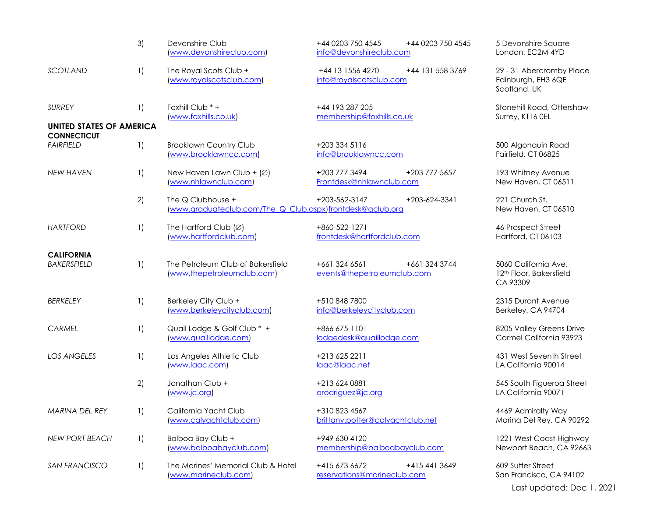|                                                       | 3)                     | Devonshire Club<br>(www.devonshireclub.com)                                    | +44 0203 750 4545<br>+44 0203 750 4545<br>info@devonshireclub.com | 5 Devonshire Square<br>London, EC2M 4YD                                   |
|-------------------------------------------------------|------------------------|--------------------------------------------------------------------------------|-------------------------------------------------------------------|---------------------------------------------------------------------------|
| SCOTLAND                                              | 1)                     | The Royal Scots Club +<br>(www.royalscotsclub.com)                             | +44 13 1556 4270<br>+44 131 558 3769<br>info@royalscotsclub.com   | 29 - 31 Abercromby Place<br>Edinburgh, EH3 6QE<br>Scotland, UK            |
| <b>SURREY</b>                                         | $\left  \right $       | Foxhill Club * +<br>(www.foxhills.co.uk)                                       | +44 193 287 205<br>membership@foxhills.co.uk                      | Stonehill Road, Ottershaw<br>Surrey, KT16 OEL                             |
| <b>UNITED STATES OF AMERICA</b><br><b>CONNECTICUT</b> |                        |                                                                                |                                                                   |                                                                           |
| <b>FAIRFIELD</b>                                      | 1)                     | <b>Brooklawn Country Club</b><br>(www.brooklawncc.com)                         | +203 334 5116<br>info@brooklawncc.com                             | 500 Algonquin Road<br>Fairfield, CT 06825                                 |
| <b>NEW HAVEN</b>                                      | 1)                     | New Haven Lawn Club + $(\emptyset)$<br>(www.nhlawnclub.com)                    | +203 777 3494<br>+203 777 5657<br>Frontdesk@nhlawnclub.com        | 193 Whitney Avenue<br>New Haven, CT 06511                                 |
|                                                       | 2)                     | The Q Clubhouse +<br>(www.graduateclub.com/The Q Club.aspx)frontdesk@gclub.org | +203-562-3147<br>+203-624-3341                                    | 221 Church St.<br>New Haven, CT 06510                                     |
| <b>HARTFORD</b>                                       | 1)                     | The Hartford Club $(Ø)$<br>(www.hartfordclub.com)                              | +860-522-1271<br>frontdesk@hartfordclub.com                       | 46 Prospect Street<br>Hartford, CT 06103                                  |
| <b>CALIFORNIA</b><br><b>BAKERSFIELD</b>               | 1)                     | The Petroleum Club of Bakersfield<br>(www.thepetroleumclub.com)                | +661 324 6561<br>+661 324 3744<br>events@thepetroleumclub.com     | 5060 California Ave.<br>12 <sup>th</sup> Floor, Bakersfield<br>CA 93309   |
| <b>BERKELEY</b>                                       | $\left  \right $       | Berkeley City Club +<br>(www.berkeleycityclub.com)                             | +510 848 7800<br>info@berkeleycityclub.com                        | 2315 Durant Avenue<br>Berkeley, CA 94704                                  |
| CARMEL                                                | 1)                     | Quail Lodge & Golf Club * +<br>(www.quaillodge.com)                            | +866 675-1101<br>lodgedesk@quaillodge.com                         | 8205 Valley Greens Drive<br>Carmel California 93923                       |
| <b>LOS ANGELES</b>                                    | 1)                     | Los Angeles Athletic Club<br>(www.laac.com)                                    | +213 625 2211<br>laac@laac.net                                    | 431 West Seventh Street<br>LA California 90014                            |
|                                                       | 2)                     | Jonathan Club +<br>(www.jc.org)                                                | +213 624 0881<br>arodriguez@jc.org                                | 545 South Figueroa Street<br>LA California 90071                          |
| MARINA DEL REY                                        | $\left  \cdot \right $ | California Yacht Club<br>(www.calyachtclub.com)                                | +310 823 4567<br>brittany.potter@calyachtclub.net                 | 4469 Admiralty Way<br>Marina Del Rey, CA 90292                            |
| <b>NEW PORT BEACH</b>                                 | 1)                     | Balboa Bay Club +<br>(www.balboabayclub.com)                                   | +949 630 4120<br>membership@balboabayclub.com                     | 1221 West Coast Highway<br>Newport Beach, CA 92663                        |
| SAN FRANCISCO                                         | 1)                     | The Marines' Memorial Club & Hotel<br>(www.marineclub.com)                     | +415 673 6672<br>+415 441 3649<br>reservations@marineclub.com     | 609 Sutter Street<br>San Francisco, CA 94102<br>Last updated: Dec 1, 2021 |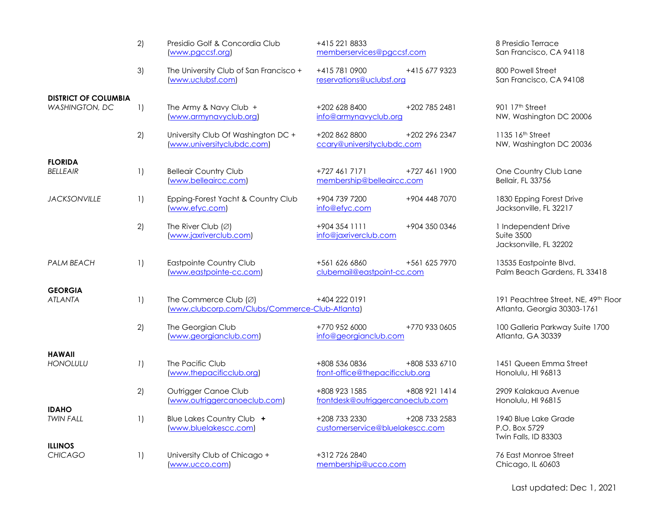|                                                      | 2)                 | Presidio Golf & Concordia Club<br>www.pgccsf.org)                                 | +415 221 8833<br>memberservices@pgccsf.com                         | 8 Presidio Terrace<br>San Francisco, CA 94118                       |
|------------------------------------------------------|--------------------|-----------------------------------------------------------------------------------|--------------------------------------------------------------------|---------------------------------------------------------------------|
|                                                      | 3)                 | The University Club of San Francisco +<br>www.uclubsf.com)                        | +415 781 0900<br>+415 677 9323<br>reservations@uclubsf.org         | 800 Powell Street<br>San Francisco, CA 94108                        |
| <b>DISTRICT OF COLUMBIA</b><br><b>WASHINGTON, DC</b> | 1)                 | The Army & Navy Club +<br>(www.armynavyclub.org)                                  | +202 628 8400<br>+202 785 2481<br>info@armynavyclub.org            | 901 17 <sup>th</sup> Street<br>NW, Washington DC 20006              |
|                                                      | 2)                 | University Club Of Washington DC +<br>(www.universityclubdc.com)                  | +202 862 8800<br>+202 296 2347<br>ccary@universityclubdc.com       | 1135 16th Street<br>NW, Washington DC 20036                         |
| <b>FLORIDA</b><br><b>BELLEAIR</b>                    | $\left  \ \right $ | <b>Belleair Country Club</b><br>(www.belleaircc.com)                              | +727 461 7171<br>+727 461 1900<br>membership@belleaircc.com        | One Country Club Lane<br>Bellair, FL 33756                          |
| <b>JACKSONVILLE</b>                                  | $\left  \right $   | Epping-Forest Yacht & Country Club<br>www.efyc.com)                               | +904 448 7070<br>+904 739 7200<br>info@efyc.com                    | 1830 Epping Forest Drive<br>Jacksonville, FL 32217                  |
|                                                      | 2)                 | The River Club $(Ø)$<br>(www.jaxriverclub.com)                                    | +904 354 1111<br>+904 350 0346<br>info@jaxriverclub.com            | 1 Independent Drive<br><b>Suite 3500</b><br>Jacksonville, FL 32202  |
| <b>PALM BEACH</b>                                    | $\left  \right $   | Eastpointe Country Club<br>(www.eastpointe-cc.com)                                | +561 625 7970<br>+561 626 6860<br>clubemail@eastpoint-cc.com       | 13535 Eastpointe Blvd.<br>Palm Beach Gardens, FL 33418              |
| <b>GEORGIA</b><br><b>ATLANTA</b>                     | $\left  \right $   | The Commerce Club $(\emptyset)$<br>(www.clubcorp.com/Clubs/Commerce-Club-Atlanta) | +404 222 0191                                                      | 191 Peachtree Street, NE, 49th Floor<br>Atlanta, Georgia 30303-1761 |
|                                                      | 2)                 | The Georgian Club<br>(www.georgianclub.com)                                       | +770 952 6000<br>+770 933 0605<br>info@georgianclub.com            | 100 Galleria Parkway Suite 1700<br>Atlanta, GA 30339                |
| <b>HAWAII</b><br><b>HONOLULU</b>                     | 1)                 | The Pacific Club<br>(www.thepacificclub.org)                                      | +808 536 0836<br>+808 533 6710<br>front-office@thepacificclub.org  | 1451 Queen Emma Street<br>Honolulu, HI 96813                        |
|                                                      | 2)                 | Outrigger Canoe Club<br>(www.outriggercanoeclub.com)                              | +808 923 1585<br>+808 921 1414<br>frontdesk@outriggercanoeclub.com | 2909 Kalakaua Avenue<br>Honolulu, HI 96815                          |
| <b>IDAHO</b><br><b>TWIN FALL</b>                     | 1)                 | Blue Lakes Country Club +<br>(www.bluelakescc.com)                                | +208 733 2330<br>+208 733 2583<br>customerservice@bluelakescc.com  | 1940 Blue Lake Grade<br>P.O. Box 5729<br>Twin Falls, ID 83303       |
| <b>ILLINOS</b><br><b>CHICAGO</b>                     | 1)                 | University Club of Chicago +<br>www.ucco.com)                                     | +312 726 2840<br>membership@ucco.com                               | 76 East Monroe Street<br>Chicago, IL 60603                          |

Last updated: Dec 1, 2021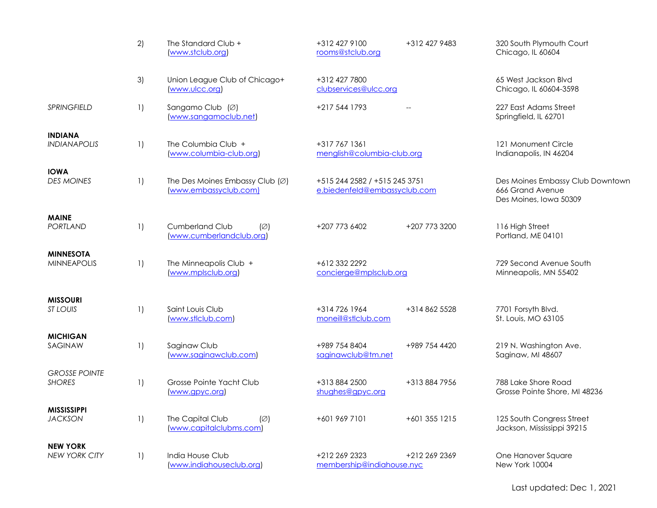|                                         | 2)                 | The Standard Club +<br>(www.stclub.org)                               | +312 427 9100<br>+312 427 9483<br>rooms@stclub.org            | 320 South Plymouth Court<br>Chicago, IL 60604                                  |
|-----------------------------------------|--------------------|-----------------------------------------------------------------------|---------------------------------------------------------------|--------------------------------------------------------------------------------|
|                                         | 3)                 | Union League Club of Chicago+<br>www.ulcc.org)                        | +312 427 7800<br>clubservices@ulcc.org                        | 65 West Jackson Blvd<br>Chicago, IL 60604-3598                                 |
| <b>SPRINGFIELD</b>                      | $\left  \ \right $ | Sangamo Club (Ø)<br>(www.sangamoclub.net)                             | +217 544 1793                                                 | 227 East Adams Street<br>Springfield, IL 62701                                 |
| <b>INDIANA</b><br><b>INDIANAPOLIS</b>   | $\left  \ \right $ | The Columbia Club +<br>(www.columbia-club.org)                        | +317 767 1361<br>menglish@columbia-club.org                   | 121 Monument Circle<br>Indianapolis, IN 46204                                  |
| <b>IOWA</b><br><b>DES MOINES</b>        | $\left  \ \right $ | The Des Moines Embassy Club $(\varnothing)$<br>(www.embassyclub.com)  | +515 244 2582 / +515 245 3751<br>e.biedenfeld@embassyclub.com | Des Moines Embassy Club Downtown<br>666 Grand Avenue<br>Des Moines, Iowa 50309 |
| <b>MAINE</b><br><b>PORTLAND</b>         | $\left  \ \right $ | <b>Cumberland Club</b><br>$(\varnothing)$<br>(www.cumberlandclub.org) | +207 773 6402<br>+207 773 3200                                | 116 High Street<br>Portland, ME 04101                                          |
| <b>MINNESOTA</b><br><b>MINNEAPOLIS</b>  | 1)                 | The Minneapolis Club +<br>(www.mplsclub.org)                          | +612 332 2292<br>concierge@mplsclub.org                       | 729 Second Avenue South<br>Minneapolis, MN 55402                               |
| <b>MISSOURI</b><br>ST LOUIS             | 1)                 | Saint Louis Club<br>(www.stlclub.com)                                 | +314 726 1964<br>+314 862 5528<br>moneill@stlclub.com         | 7701 Forsyth Blvd.<br>St. Louis, MO 63105                                      |
| <b>MICHIGAN</b><br>SAGINAW              | 1)                 | Saginaw Club<br>(www.saginawclub.com)                                 | +989 754 8404<br>+989 754 4420<br>saginawclub@tm.net          | 219 N. Washington Ave.<br>Saginaw, MI 48607                                    |
| <b>GROSSE POINTE</b><br><b>SHORES</b>   | $\left  \ \right $ | Grosse Pointe Yacht Club<br>www.gpyc.org)                             | +313 884 2500<br>+313 884 7956<br>shughes@gpyc.org            | 788 Lake Shore Road<br>Grosse Pointe Shore, MI 48236                           |
| <b>MISSISSIPPI</b><br><b>JACKSON</b>    | 1)                 | The Capital Club<br>$(\varnothing)$<br>(www.capitalclubms.com)        | +601 969 7101<br>+601 355 1215                                | 125 South Congress Street<br>Jackson, Mississippi 39215                        |
| <b>NEW YORK</b><br><b>NEW YORK CITY</b> | 1)                 | India House Club<br>(www.indiahouseclub.org)                          | +212 269 2323<br>+212 269 2369<br>membership@indiahouse.nyc   | One Hanover Square<br>New York 10004                                           |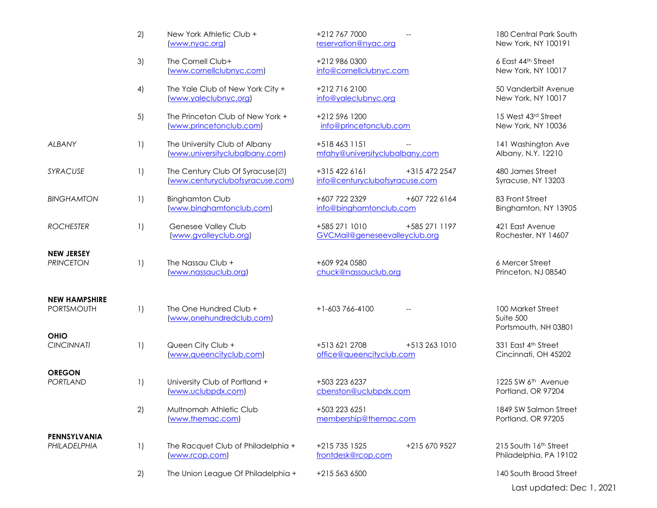|                                       | 2)               | New York Athletic Club +<br>www.nyac.org                           | +212 767 7000<br>reservation@nyac.org                            | 180 Central Park South<br>New York, NY 100191          |
|---------------------------------------|------------------|--------------------------------------------------------------------|------------------------------------------------------------------|--------------------------------------------------------|
|                                       | 3)               | The Cornell Club+<br>(www.cornellclubnyc.com)                      | +212 986 0300<br>info@cornellclubnyc.com                         | 6 East 44th Street<br>New York, NY 10017               |
|                                       | 4)               | The Yale Club of New York City +<br>(www.yaleclubnyc.org)          | +212 716 2100<br>info@yaleclubnyc.org                            | 50 Vanderbilt Avenue<br>New York, NY 10017             |
|                                       | 5)               | The Princeton Club of New York +<br>(www.princetonclub.com)        | +212 596 1200<br>info@princetonclub.com                          | 15 West 43rd Street<br>New York, NY 10036              |
| <b>ALBANY</b>                         | 1)               | The University Club of Albany<br>(www.universityclubalbany.com)    | +518 463 1151<br>mfahy@universityclubalbany.com                  | 141 Washington Ave<br>Albany, N.Y. 12210               |
| SYRACUSE                              | $\left  \right $ | The Century Club Of Syracuse(Ø)<br>(www.centuryclubofsyracuse.com) | +315 422 6161<br>+315 472 2547<br>info@centuryclubofsyracuse.com | 480 James Street<br>Syracuse, NY 13203                 |
| <b>BINGHAMTON</b>                     | 1)               | <b>Binghamton Club</b><br>(www.binghamtonclub.com)                 | +607 722 2329<br>+607 722 6164<br>info@binghamtonclub.com        | 83 Front Street<br>Binghamton, NY 13905                |
| <b>ROCHESTER</b>                      | $\left  \right $ | Genesee Valley Club<br>(www.gvalleyclub.org)                       | +585 271 1010<br>+585 271 1197<br>GVCMail@geneseevalleyclub.org  | 421 East Avenue<br>Rochester, NY 14607                 |
| <b>NEW JERSEY</b><br><b>PRINCETON</b> | 1)               | The Nassau Club +<br>(www.nassauclub.org)                          | +609 924 0580<br>chuck@nassauclub.org                            | 6 Mercer Street<br>Princeton, NJ 08540                 |
| <b>NEW HAMPSHIRE</b><br>PORTSMOUTH    | 1)               | The One Hundred Club +<br>(www.onehundredclub.com)                 | $+1-603766-4100$                                                 | 100 Market Street<br>Suite 500<br>Portsmouth, NH 03801 |
| <b>OHIO</b><br><b>CINCINNATI</b>      | $\left  \right $ | Queen City Club +<br>(www.queencityclub.com)                       | +513 621 2708<br>+513 263 1010<br>office@queencityclub.com       | 331 East 4th Street<br>Cincinnati, OH 45202            |
| <b>OREGON</b><br><b>PORTLAND</b>      | $\left  \right $ | University Club of Portland +<br>(www.uclubpdx.com)                | +503 223 6237<br>cbenston@uclubpdx.com                           | 1225 SW 6 <sup>th</sup> Avenue<br>Portland, OR 97204   |
|                                       | 2)               | Multnomah Athletic Club<br>(www.themac.com)                        | +503 223 6251<br>membership@themac.com                           | 1849 SW Salmon Street<br>Portland, OR 97205            |
| PENNSYLVANIA<br>PHILADELPHIA          | 1)               | The Racquet Club of Philadelphia +<br>www.rcop.com                 | +215 735 1525<br>+215 670 9527<br>frontdesk@rcop.com             | 215 South 16th Street<br>Philadelphia, PA 19102        |
|                                       | 2)               | The Union League Of Philadelphia +                                 | +215 563 6500                                                    | 140 South Broad Street                                 |
|                                       |                  |                                                                    |                                                                  | Last updated: Dec 1, 2021                              |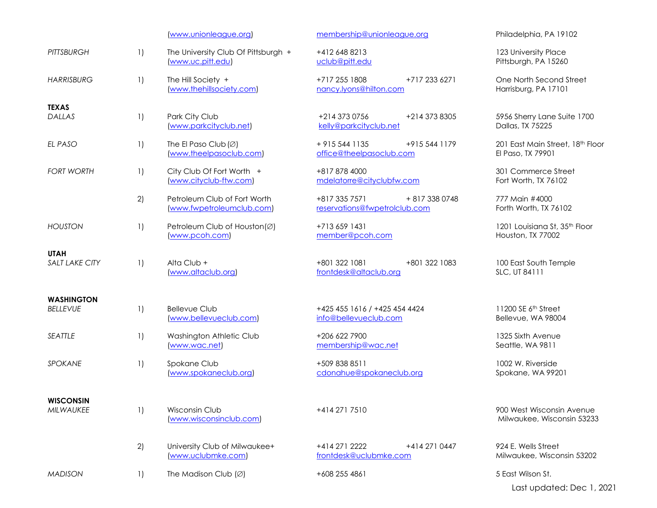|                                      |                    | (www.unionleague.org)                                       | membership@unionleague.org                                       | Philadelphia, PA 19102                                  |
|--------------------------------------|--------------------|-------------------------------------------------------------|------------------------------------------------------------------|---------------------------------------------------------|
| <b>PITTSBURGH</b>                    | $\left  \ \right $ | The University Club Of Pittsburgh +<br>www.uc.pitt.edu)     | +412 648 8213<br>uclub@pitt.edu                                  | 123 University Place<br>Pittsburgh, PA 15260            |
| <b>HARRISBURG</b>                    | $\left  \ \right $ | The Hill Society +<br>(www.thehillsociety.com)              | +717 255 1808<br>+717 233 6271<br>nancy.lyons@hilton.com         | One North Second Street<br>Harrisburg, PA 17101         |
| <b>TEXAS</b><br>DALLAS               | $\left  \ \right $ | Park City Club<br>(www.parkcityclub.net)                    | +214 373 0756<br>+214 373 8305<br>kelly@parkcityclub.net         | 5956 Sherry Lane Suite 1700<br>Dallas, TX 75225         |
| EL PASO                              | $\left  \ \right $ | The El Paso Club $(\varnothing)$<br>(www.theelpasoclub.com) | $+9155441135$<br>+915 544 1179<br>office@theelpasoclub.com       | 201 East Main Street, 18th Floor<br>El Paso, TX 79901   |
| <b>FORT WORTH</b>                    | $\left  \ \right $ | City Club Of Fort Worth +<br>(www.cityclub-ftw.com)         | +817 878 4000<br>mdelatorre@cityclubfw.com                       | 301 Commerce Street<br>Fort Worth, TX 76102             |
|                                      | 2)                 | Petroleum Club of Fort Worth<br>(www.fwpetroleumclub.com)   | +817 335 7571<br>+ 817 338 0748<br>reservations@fwpetrolclub.com | 777 Main #4000<br>Forth Worth, TX 76102                 |
| <b>HOUSTON</b>                       | $\left  \ \right $ | Petroleum Club of Houston(Ø)<br>(www.pcoh.com)              | +713 659 1431<br>member@pcoh.com                                 | 1201 Louisiana St, 35th Floor<br>Houston, TX 77002      |
| <b>UTAH</b><br><b>SALT LAKE CITY</b> | $\left  \ \right $ | Alta Club +<br>(www.altaclub.org)                           | +801 322 1081<br>+801 322 1083<br>frontdesk@altaclub.org         | 100 East South Temple<br>SLC, UT 84111                  |
| <b>WASHINGTON</b><br><b>BELLEVUE</b> | $\left  \ \right $ | <b>Bellevue Club</b><br>(www.bellevueclub.com)              | +425 455 1616 / +425 454 4424<br>info@bellevueclub.com           | 11200 SE 6th Street<br>Bellevue, WA 98004               |
| SEATTLE                              | $\left  \ \right $ | Washington Athletic Club<br>www.wac.net)                    | +206 622 7900<br>membership@wac.net                              | 1325 Sixth Avenue<br>Seattle, WA 9811                   |
| <b>SPOKANE</b>                       | $\left  \ \right $ | Spokane Club<br>(www.spokaneclub.org)                       | +509 838 8511<br>cdonahue@spokaneclub.org                        | 1002 W. Riverside<br>Spokane, WA 99201                  |
| <b>WISCONSIN</b><br><b>MILWAUKEE</b> | $\left  \ \right $ | Wisconsin Club<br>(www.wisconsinclub.com)                   | +414 271 7510                                                    | 900 West Wisconsin Avenue<br>Milwaukee, Wisconsin 53233 |
|                                      | 2)                 | University Club of Milwaukee+<br>(www.uclubmke.com)         | +414 271 2222<br>+414 271 0447<br>frontdesk@uclubmke.com         | 924 E. Wells Street<br>Milwaukee, Wisconsin 53202       |
| <b>MADISON</b>                       | $\left  \ \right $ | The Madison Club $( \varnothing )$                          | +608 255 4861                                                    | 5 East Wilson St.                                       |
|                                      |                    |                                                             |                                                                  | Last updated: Dec 1, 2021                               |